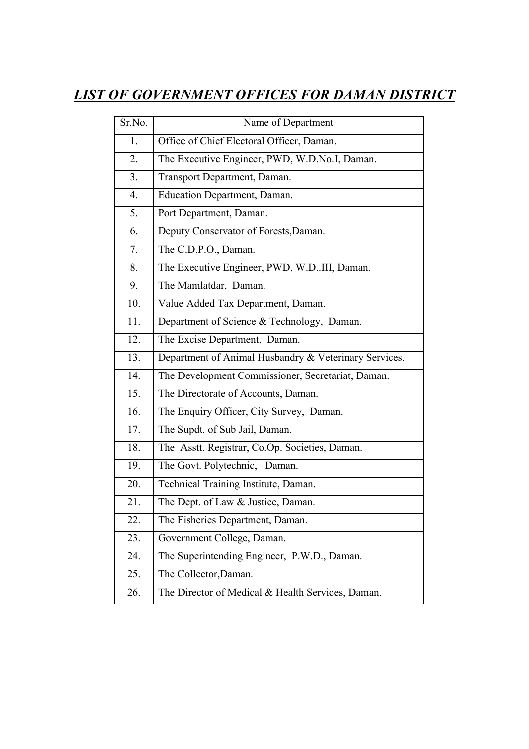## *LIST OF GOVERNMENT OFFICES FOR DAMAN DISTRICT*

| Sr.No.         | Name of Department                                    |
|----------------|-------------------------------------------------------|
| 1.             | Office of Chief Electoral Officer, Daman.             |
| 2.             | The Executive Engineer, PWD, W.D.No.I, Daman.         |
| 3 <sub>1</sub> | Transport Department, Daman.                          |
| 4.             | Education Department, Daman.                          |
| 5.             | Port Department, Daman.                               |
| 6.             | Deputy Conservator of Forests, Daman.                 |
| 7.             | The C.D.P.O., Daman.                                  |
| 8.             | The Executive Engineer, PWD, W.DIII, Daman.           |
| 9.             | The Mamlatdar, Daman.                                 |
| 10.            | Value Added Tax Department, Daman.                    |
| 11.            | Department of Science & Technology, Daman.            |
| 12.            | The Excise Department, Daman.                         |
| 13.            | Department of Animal Husbandry & Veterinary Services. |
| 14.            | The Development Commissioner, Secretariat, Daman.     |
| 15.            | The Directorate of Accounts, Daman.                   |
| 16.            | The Enquiry Officer, City Survey, Daman.              |
| 17.            | The Supdt. of Sub Jail, Daman.                        |
| 18.            | The Asstt. Registrar, Co.Op. Societies, Daman.        |
| 19.            | The Govt. Polytechnic, Daman.                         |
| 20.            | Technical Training Institute, Daman.                  |
| 21.            | The Dept. of Law & Justice, Daman.                    |
| 22.            | The Fisheries Department, Daman.                      |
| 23.            | Government College, Daman.                            |
| 24.            | The Superintending Engineer, P.W.D., Daman.           |
| 25.            | The Collector, Daman.                                 |
| 26.            | The Director of Medical & Health Services, Daman.     |